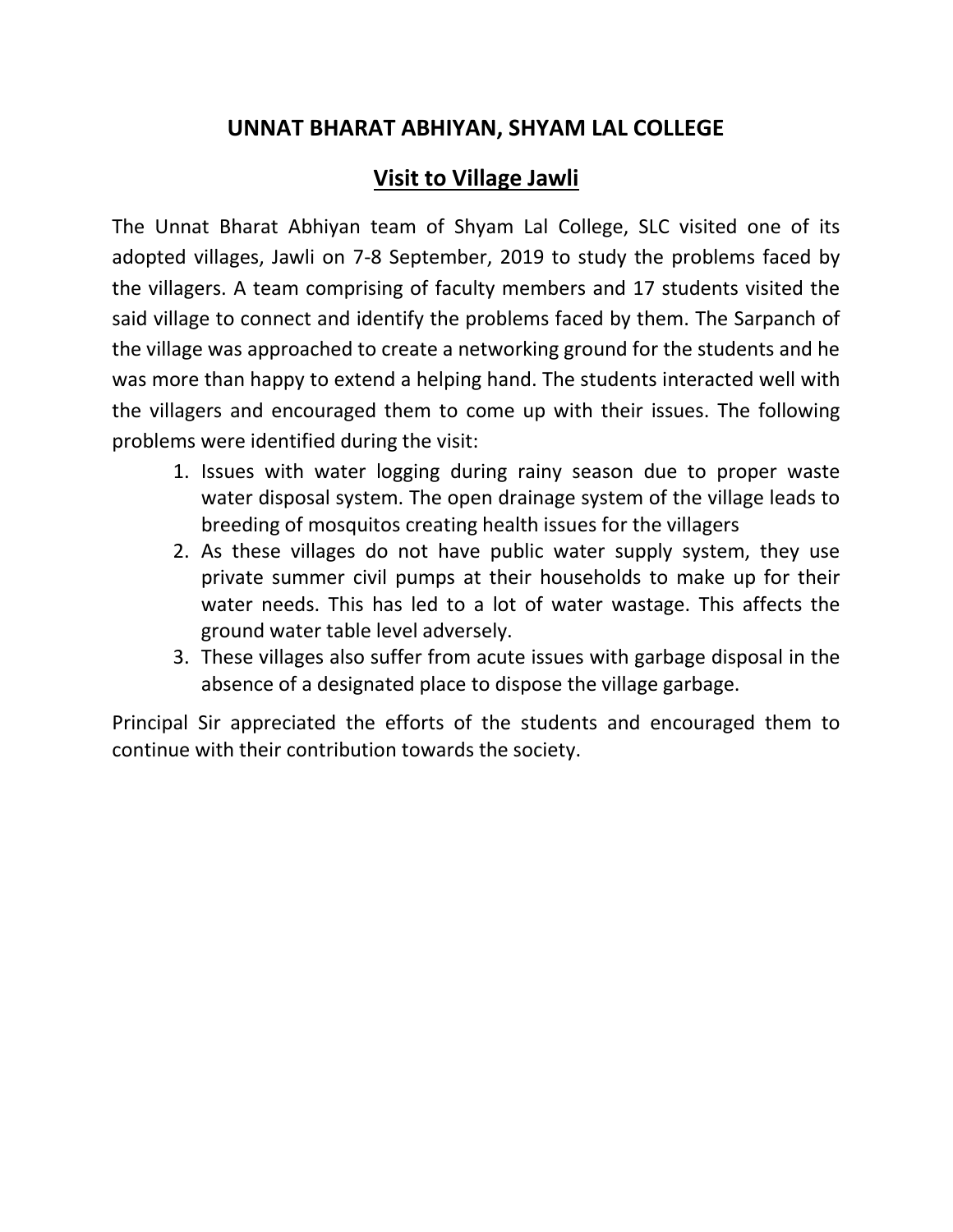## **UNNAT BHARAT ABHIYAN, SHYAM LAL COLLEGE**

## **Visit to Village Jawli**

The Unnat Bharat Abhiyan team of Shyam Lal College, SLC visited one of its adopted villages, Jawli on 7-8 September, 2019 to study the problems faced by the villagers. A team comprising of faculty members and 17 students visited the said village to connect and identify the problems faced by them. The Sarpanch of the village was approached to create a networking ground for the students and he was more than happy to extend a helping hand. The students interacted well with the villagers and encouraged them to come up with their issues. The following problems were identified during the visit:

- 1. Issues with water logging during rainy season due to proper waste water disposal system. The open drainage system of the village leads to breeding of mosquitos creating health issues for the villagers
- 2. As these villages do not have public water supply system, they use private summer civil pumps at their households to make up for their water needs. This has led to a lot of water wastage. This affects the ground water table level adversely.
- 3. These villages also suffer from acute issues with garbage disposal in the absence of a designated place to dispose the village garbage.

Principal Sir appreciated the efforts of the students and encouraged them to continue with their contribution towards the society.